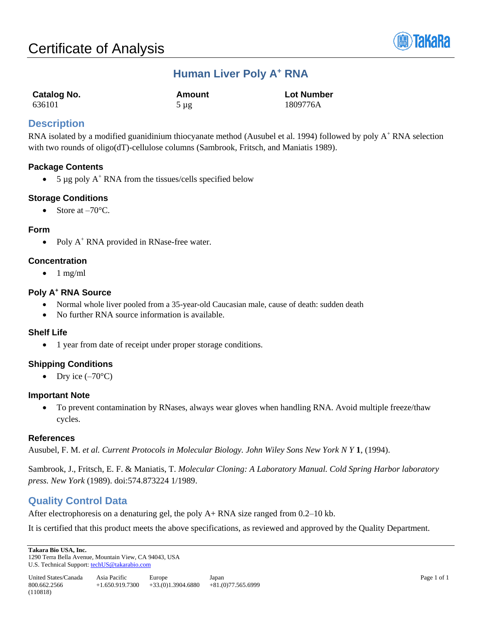

# **Human Liver Poly A<sup>+</sup> RNA**

| Catalog No. | Amount    | <b>Lot Number</b> |
|-------------|-----------|-------------------|
| 636101      | $5 \mu g$ | 1809776A          |

# **Description**

RNA isolated by a modified guanidinium thiocyanate method (Ausubel et al. 1994) followed by poly  $A^+$  RNA selection with two rounds of oligo(dT)-cellulose columns (Sambrook, Fritsch, and Maniatis 1989).

## **Package Contents**

• 5  $\mu$ g poly A<sup>+</sup> RNA from the tissues/cells specified below

## **Storage Conditions**

• Store at  $-70^{\circ}$ C.

#### **Form**

• Poly  $A^+$  RNA provided in RNase-free water.

#### **Concentration**

 $\bullet$  1 mg/ml

## **Poly A<sup>+</sup> RNA Source**

- Normal whole liver pooled from a 35-year-old Caucasian male, cause of death: sudden death
- No further RNA source information is available.

#### **Shelf Life**

• 1 year from date of receipt under proper storage conditions.

## **Shipping Conditions**

• Dry ice  $(-70^{\circ}C)$ 

#### **Important Note**

• To prevent contamination by RNases, always wear gloves when handling RNA. Avoid multiple freeze/thaw cycles.

#### **References**

Ausubel, F. M. *et al. Current Protocols in Molecular Biology. John Wiley Sons New York N Y* **1**, (1994).

Sambrook, J., Fritsch, E. F. & Maniatis, T. *Molecular Cloning: A Laboratory Manual. Cold Spring Harbor laboratory press. New York* (1989). doi:574.873224 1/1989.

# **Quality Control Data**

After electrophoresis on a denaturing gel, the poly A+ RNA size ranged from 0.2–10 kb.

It is certified that this product meets the above specifications, as reviewed and approved by the Quality Department.

**Takara Bio USA, Inc.**  1290 Terra Bella Avenue, Mountain View, CA 94043, USA U.S. Technical Support[: techUS@takarabio.com](mailto:techUS@takarabio.com)